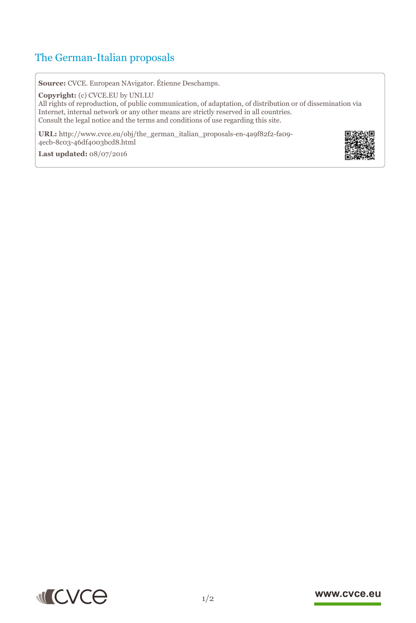## The German-Italian proposals

**Source:** CVCE. European NAvigator. Étienne Deschamps.

**Copyright:** (c) CVCE.EU by UNI.LU

All rights of reproduction, of public communication, of adaptation, of distribution or of dissemination via Internet, internal network or any other means are strictly reserved in all countries. Consult the legal notice and the terms and conditions of use regarding this site.

**URL:** http://www.cvce.eu/obj/the\_german\_italian\_proposals-en-4a9f82f2-fa09- 4ecb-8c0[3-46df4003bcd8.html](http://www.cvce.eu/obj/the_german_italian_proposals-en-4a9f82f2-fa09-4ecb-8c03-46df4003bcd8.html)



**Las[t updated:](http://www.cvce.eu/obj/the_german_italian_proposals-en-4a9f82f2-fa09-4ecb-8c03-46df4003bcd8.html)** 08/07/2016



## www.cvce.eu